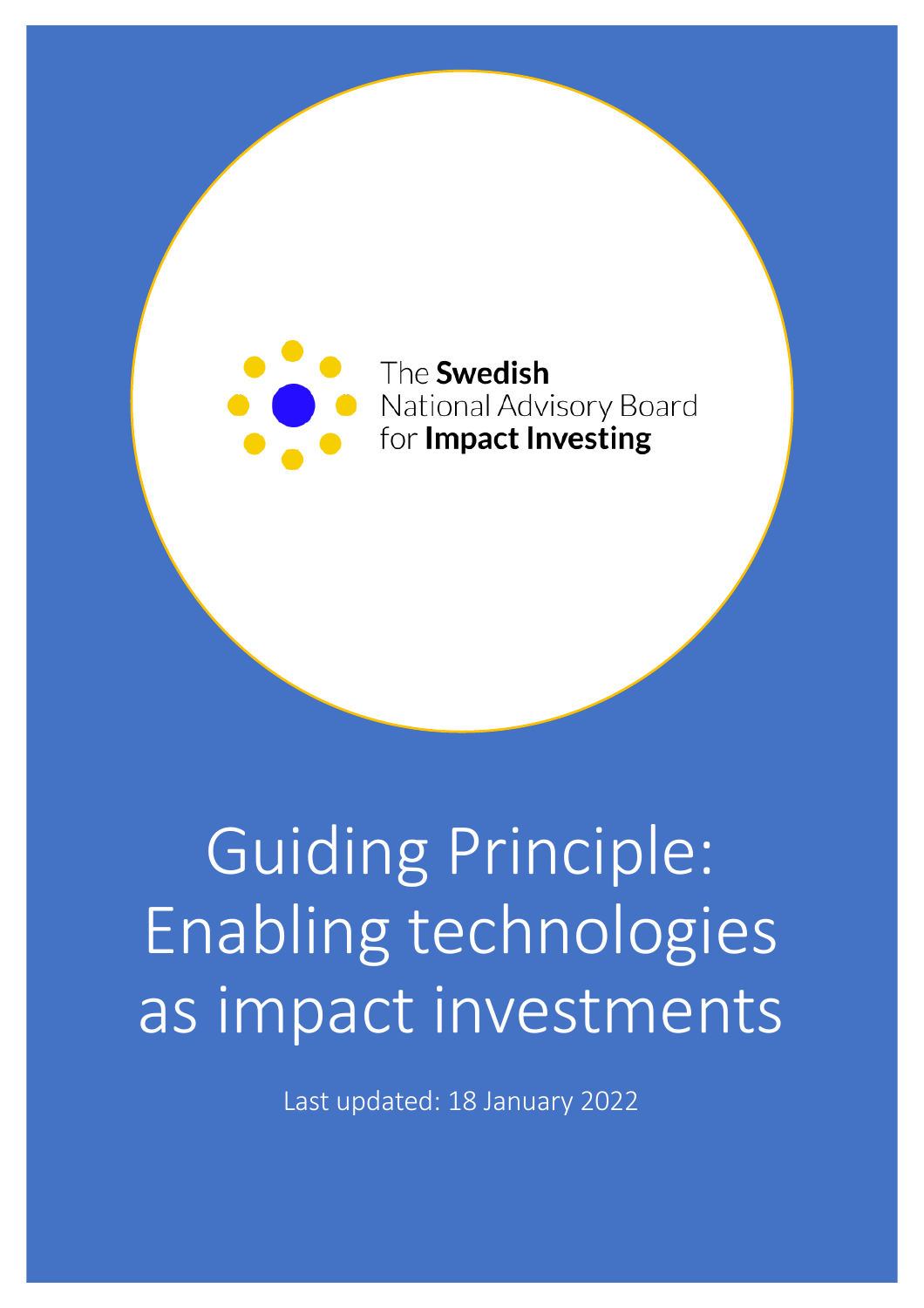

# Guiding Principle: Enabling technologies as impact investments

Last updated: 18 January 2022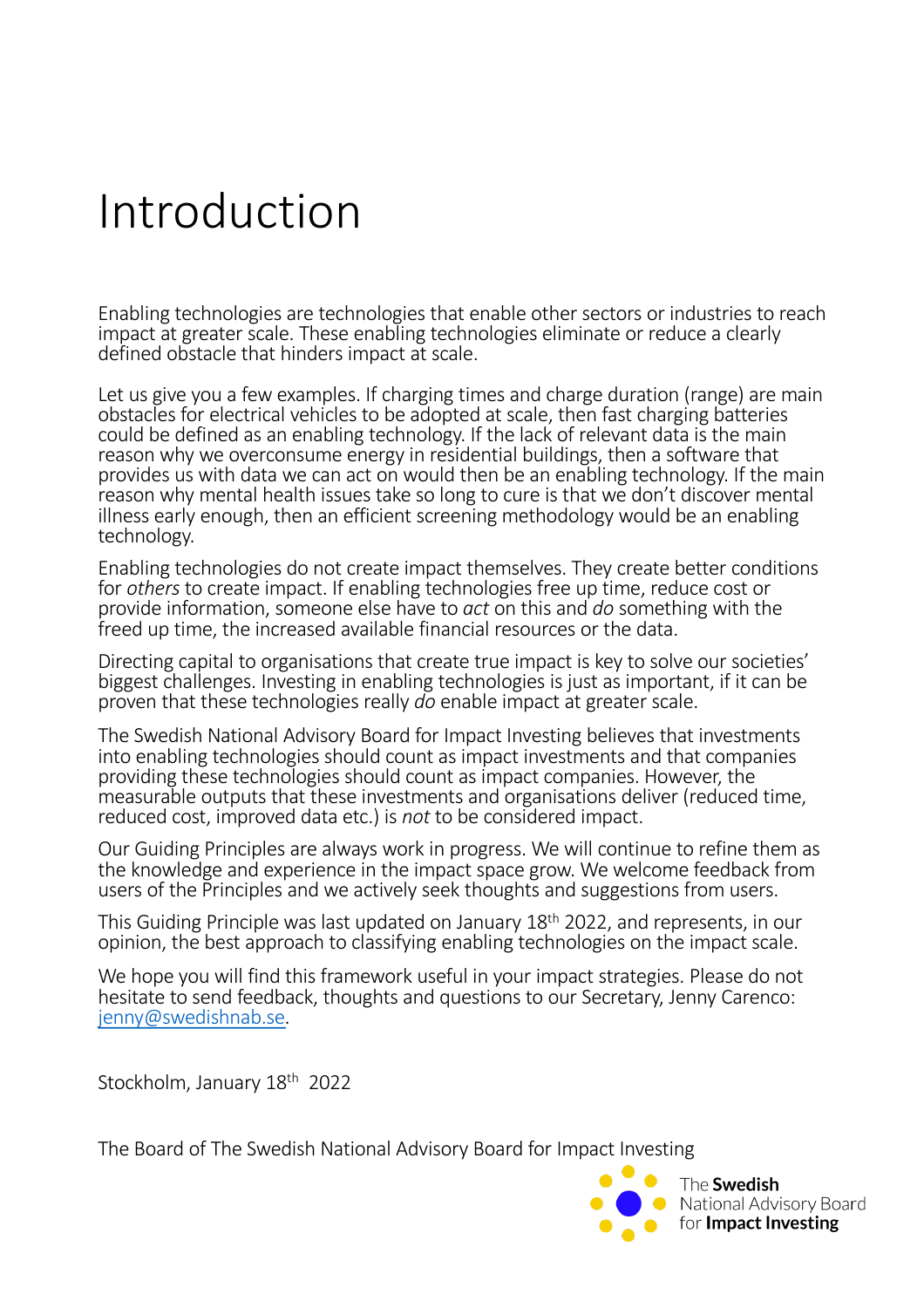## Introduction

Enabling technologies are technologies that enable other sectors or industries to reach impact at greater scale. These enabling technologies eliminate or reduce a clearly defined obstacle that hinders impact at scale.

Let us give you a few examples. If charging times and charge duration (range) are main obstacles for electrical vehicles to be adopted at scale, then fast charging batteries could be defined as an enabling technology. If the lack of relevant data is the main reason why we overconsume energy in residential buildings, then a software that provides us with data we can act on would then be an enabling technology. If the main reason why mental health issues take so long to cure is that we don't discover mental illness early enough, then an efficient screening methodology would be an enabling technology.

Enabling technologies do not create impact themselves. They create better conditions for *others* to create impact. If enabling technologies free up time, reduce cost or provide information, someone else have to *act* on this and *do* something with the freed up time, the increased available financial resources or the data.

Directing capital to organisations that create true impact is key to solve our societies' biggest challenges. Investing in enabling technologies is just as important, if it can be proven that these technologies really *do* enable impact at greater scale.

The Swedish National Advisory Board for Impact Investing believes that investments into enabling technologies should count as impact investments and that companies providing these technologies should count as impact companies. However, the measurable outputs that these investments and organisations deliver (reduced time, reduced cost, improved data etc.) is *not* to be considered impact.

Our Guiding Principles are always work in progress. We will continue to refine them as the knowledge and experience in the impact space grow. We welcome feedback from users of the Principles and we actively seek thoughts and suggestions from users.

This Guiding Principle was last updated on January 18th 2022, and represents, in our opinion, the best approach to classifying enabling technologies on the impact scale.

We hope you will find this framework useful in your impact strategies. Please do not hesitate to send feedback, thoughts and questions to our Secretary, Jenny Carenco: [jenny@swedishnab](mailto:jenny@swedishnab.se).se.

Stockholm, January 18<sup>th</sup> 2022

The Board of The Swedish National Advisory Board for Impact Investing

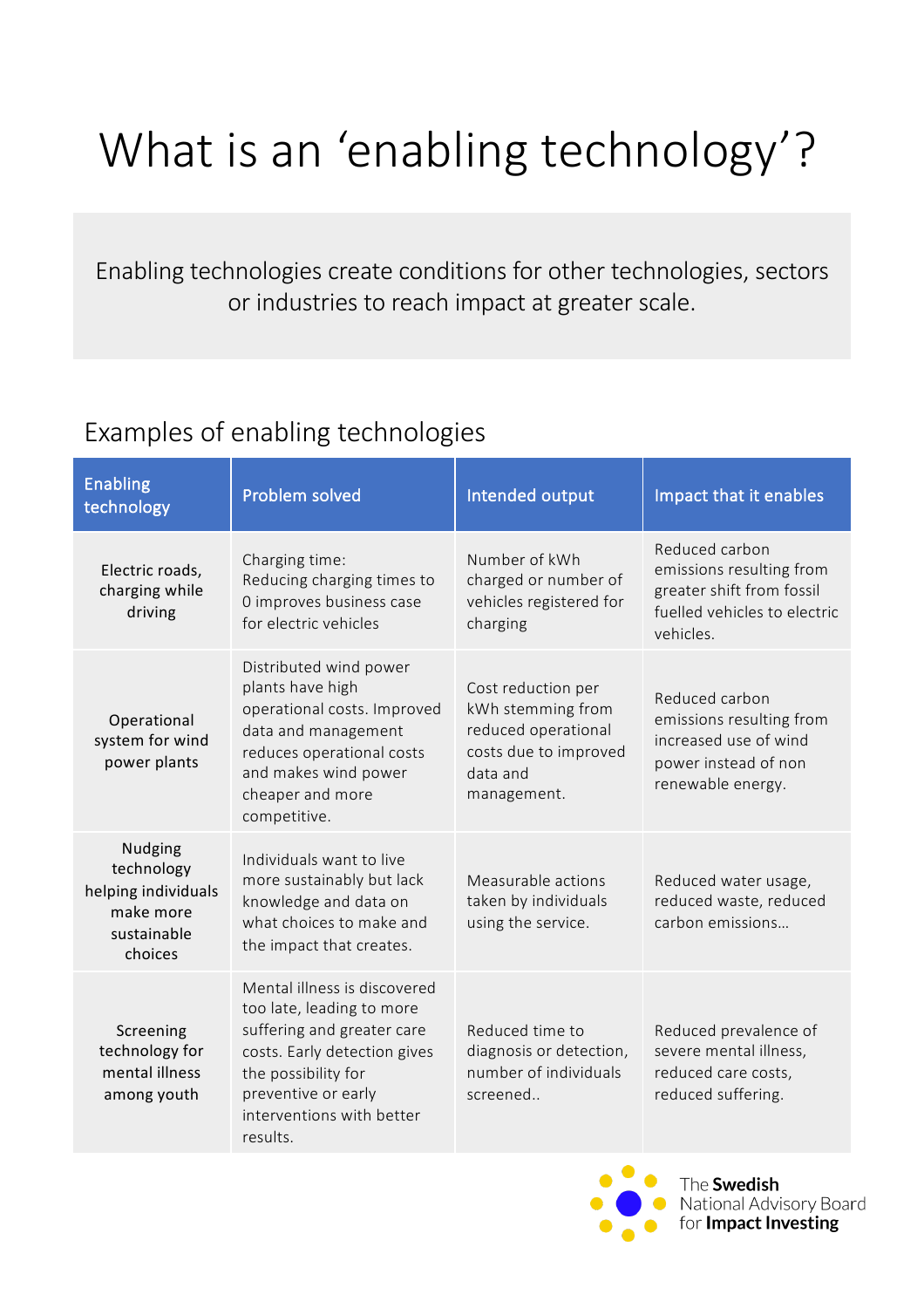# What is an 'enabling technology'?

Enabling technologies create conditions for other technologies, sectors or industries to reach impact at greater scale.

### Examples of enabling technologies

| <b>Enabling</b><br>technology                                                       | Problem solved                                                                                                                                                                                                 | Intended output                                                                                                    | Impact that it enables                                                                                               |
|-------------------------------------------------------------------------------------|----------------------------------------------------------------------------------------------------------------------------------------------------------------------------------------------------------------|--------------------------------------------------------------------------------------------------------------------|----------------------------------------------------------------------------------------------------------------------|
| Electric roads,<br>charging while<br>driving                                        | Charging time:<br>Reducing charging times to<br>0 improves business case<br>for electric vehicles                                                                                                              | Number of kWh<br>charged or number of<br>vehicles registered for<br>charging                                       | Reduced carbon<br>emissions resulting from<br>greater shift from fossil<br>fuelled vehicles to electric<br>vehicles. |
| Operational<br>system for wind<br>power plants                                      | Distributed wind power<br>plants have high<br>operational costs. Improved<br>data and management<br>reduces operational costs<br>and makes wind power<br>cheaper and more<br>competitive.                      | Cost reduction per<br>kWh stemming from<br>reduced operational<br>costs due to improved<br>data and<br>management. | Reduced carbon<br>emissions resulting from<br>increased use of wind<br>power instead of non<br>renewable energy.     |
| Nudging<br>technology<br>helping individuals<br>make more<br>sustainable<br>choices | Individuals want to live<br>more sustainably but lack<br>knowledge and data on<br>what choices to make and<br>the impact that creates.                                                                         | Measurable actions<br>taken by individuals<br>using the service.                                                   | Reduced water usage,<br>reduced waste, reduced<br>carbon emissions                                                   |
| Screening<br>technology for<br>mental illness<br>among youth                        | Mental illness is discovered<br>too late, leading to more<br>suffering and greater care<br>costs. Early detection gives<br>the possibility for<br>preventive or early<br>interventions with better<br>results. | Reduced time to<br>diagnosis or detection,<br>number of individuals<br>screened                                    | Reduced prevalence of<br>severe mental illness,<br>reduced care costs,<br>reduced suffering.                         |



The **Swedish** National Advisory Board for Impact Investing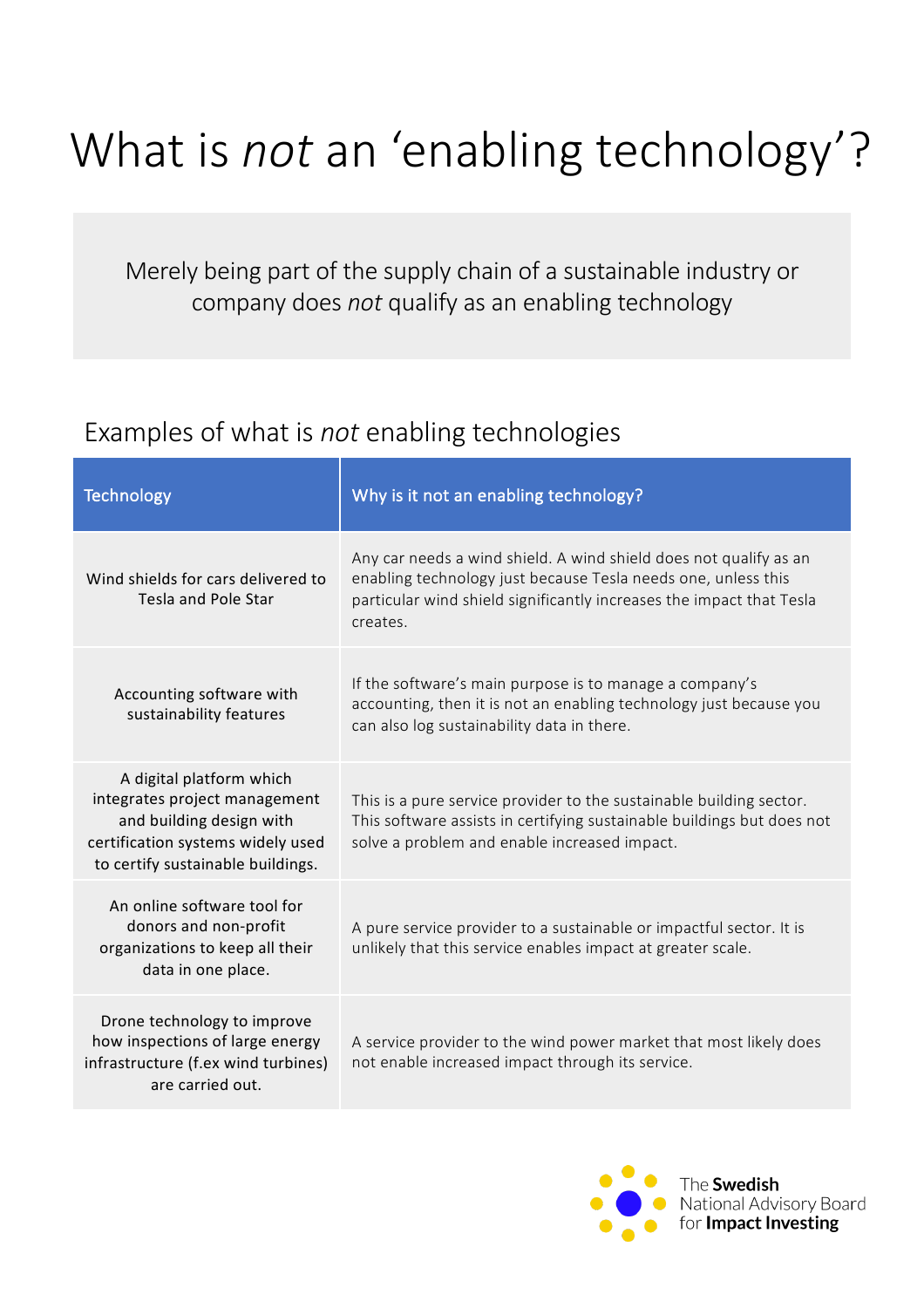# What is *not* an 'enabling technology'?

Merely being part of the supply chain of a sustainable industry or company does *not* qualify as an enabling technology

### Examples of what is *not* enabling technologies

| <b>Technology</b>                                                                                                                                               | Why is it not an enabling technology?                                                                                                                                                                                  |
|-----------------------------------------------------------------------------------------------------------------------------------------------------------------|------------------------------------------------------------------------------------------------------------------------------------------------------------------------------------------------------------------------|
| Wind shields for cars delivered to<br><b>Tesla and Pole Star</b>                                                                                                | Any car needs a wind shield. A wind shield does not qualify as an<br>enabling technology just because Tesla needs one, unless this<br>particular wind shield significantly increases the impact that Tesla<br>creates. |
| Accounting software with<br>sustainability features                                                                                                             | If the software's main purpose is to manage a company's<br>accounting, then it is not an enabling technology just because you<br>can also log sustainability data in there.                                            |
| A digital platform which<br>integrates project management<br>and building design with<br>certification systems widely used<br>to certify sustainable buildings. | This is a pure service provider to the sustainable building sector.<br>This software assists in certifying sustainable buildings but does not<br>solve a problem and enable increased impact.                          |
| An online software tool for<br>donors and non-profit<br>organizations to keep all their<br>data in one place.                                                   | A pure service provider to a sustainable or impactful sector. It is<br>unlikely that this service enables impact at greater scale.                                                                                     |
| Drone technology to improve<br>how inspections of large energy<br>infrastructure (f.ex wind turbines)<br>are carried out.                                       | A service provider to the wind power market that most likely does<br>not enable increased impact through its service.                                                                                                  |

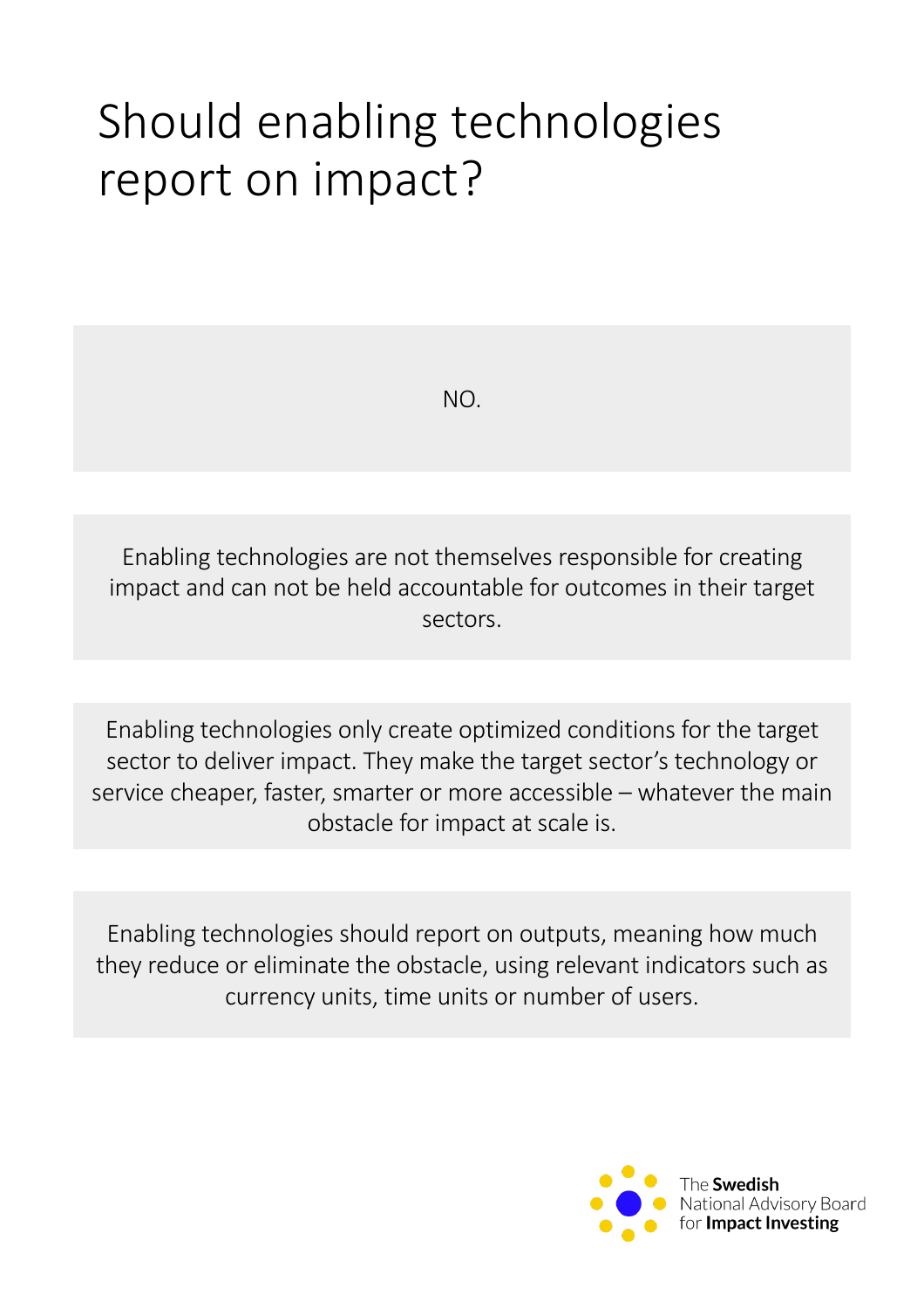# Should enabling technologies report on impact?

NO.

Enabling technologies are not themselves responsible for creating impact and can not be held accountable for outcomes in their target sectors.

Enabling technologies only create optimized conditions for the target sector to deliver impact. They make the target sector's technology or service cheaper, faster, smarter or more accessible – whatever the main obstacle for impact at scale is.

Enabling technologies should report on outputs, meaning how much they reduce or eliminate the obstacle, using relevant indicators such as currency units, time units or number of users.

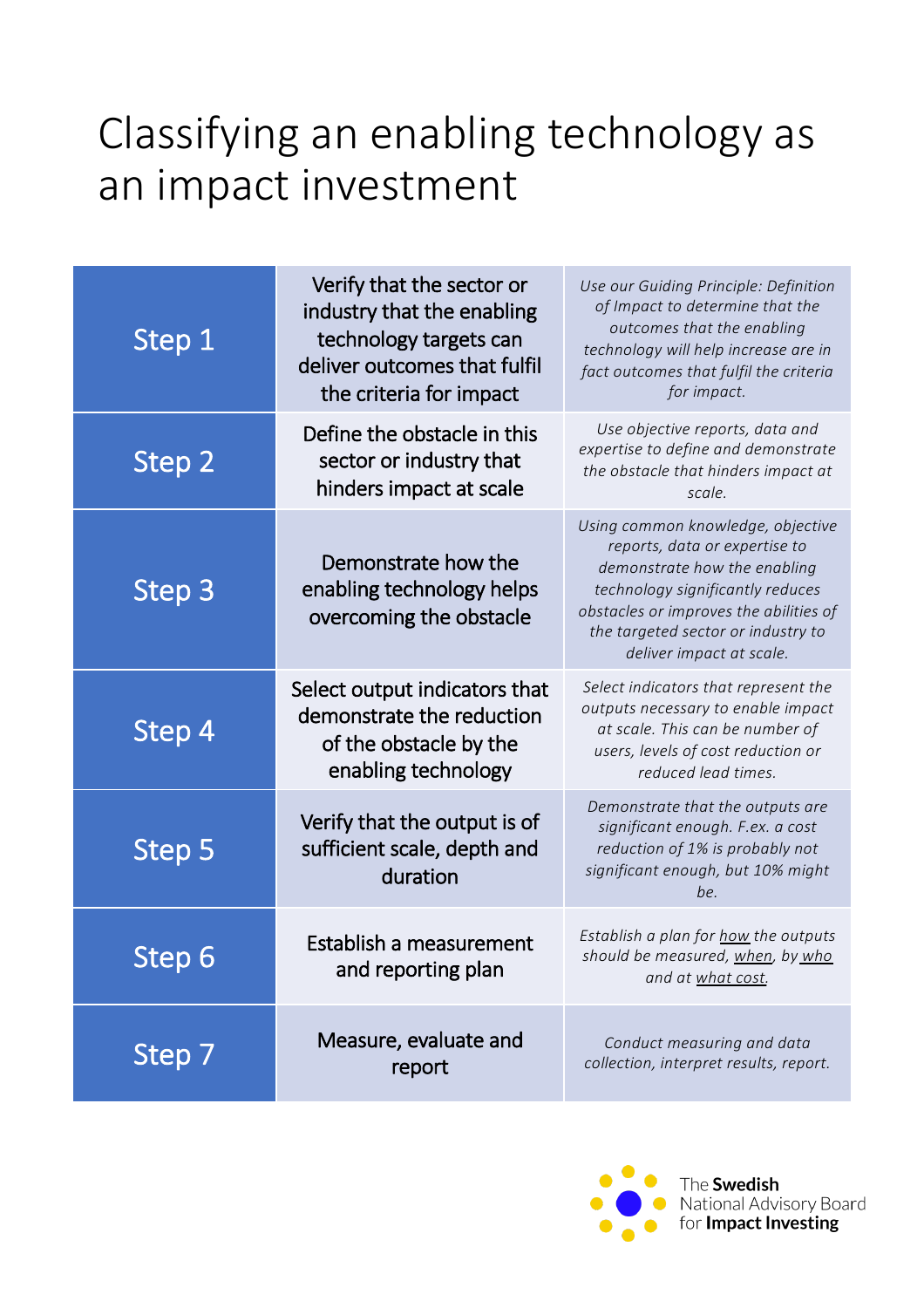## Classifying an enabling technology as an impact investment

| Step 1        | Verify that the sector or<br>industry that the enabling<br>technology targets can<br>deliver outcomes that fulfil<br>the criteria for impact | Use our Guiding Principle: Definition<br>of Impact to determine that the<br>outcomes that the enabling<br>technology will help increase are in<br>fact outcomes that fulfil the criteria<br>for impact.                                            |
|---------------|----------------------------------------------------------------------------------------------------------------------------------------------|----------------------------------------------------------------------------------------------------------------------------------------------------------------------------------------------------------------------------------------------------|
| Step 2        | Define the obstacle in this<br>sector or industry that<br>hinders impact at scale                                                            | Use objective reports, data and<br>expertise to define and demonstrate<br>the obstacle that hinders impact at<br>scale.                                                                                                                            |
| Step 3        | Demonstrate how the<br>enabling technology helps<br>overcoming the obstacle                                                                  | Using common knowledge, objective<br>reports, data or expertise to<br>demonstrate how the enabling<br>technology significantly reduces<br>obstacles or improves the abilities of<br>the targeted sector or industry to<br>deliver impact at scale. |
| Step 4        | Select output indicators that<br>demonstrate the reduction<br>of the obstacle by the<br>enabling technology                                  | Select indicators that represent the<br>outputs necessary to enable impact<br>at scale. This can be number of<br>users, levels of cost reduction or<br>reduced lead times.                                                                         |
| Step 5        | Verify that the output is of<br>sufficient scale, depth and<br>duration                                                                      | Demonstrate that the outputs are<br>significant enough. F.ex. a cost<br>reduction of 1% is probably not<br>significant enough, but 10% might<br>be.                                                                                                |
| <b>Step 6</b> | Establish a measurement<br>and reporting plan                                                                                                | Establish a plan for how the outputs<br>should be measured, when, by who<br>and at what cost.                                                                                                                                                      |
| Step 7        | Measure, evaluate and<br>report                                                                                                              | Conduct measuring and data<br>collection, interpret results, report.                                                                                                                                                                               |

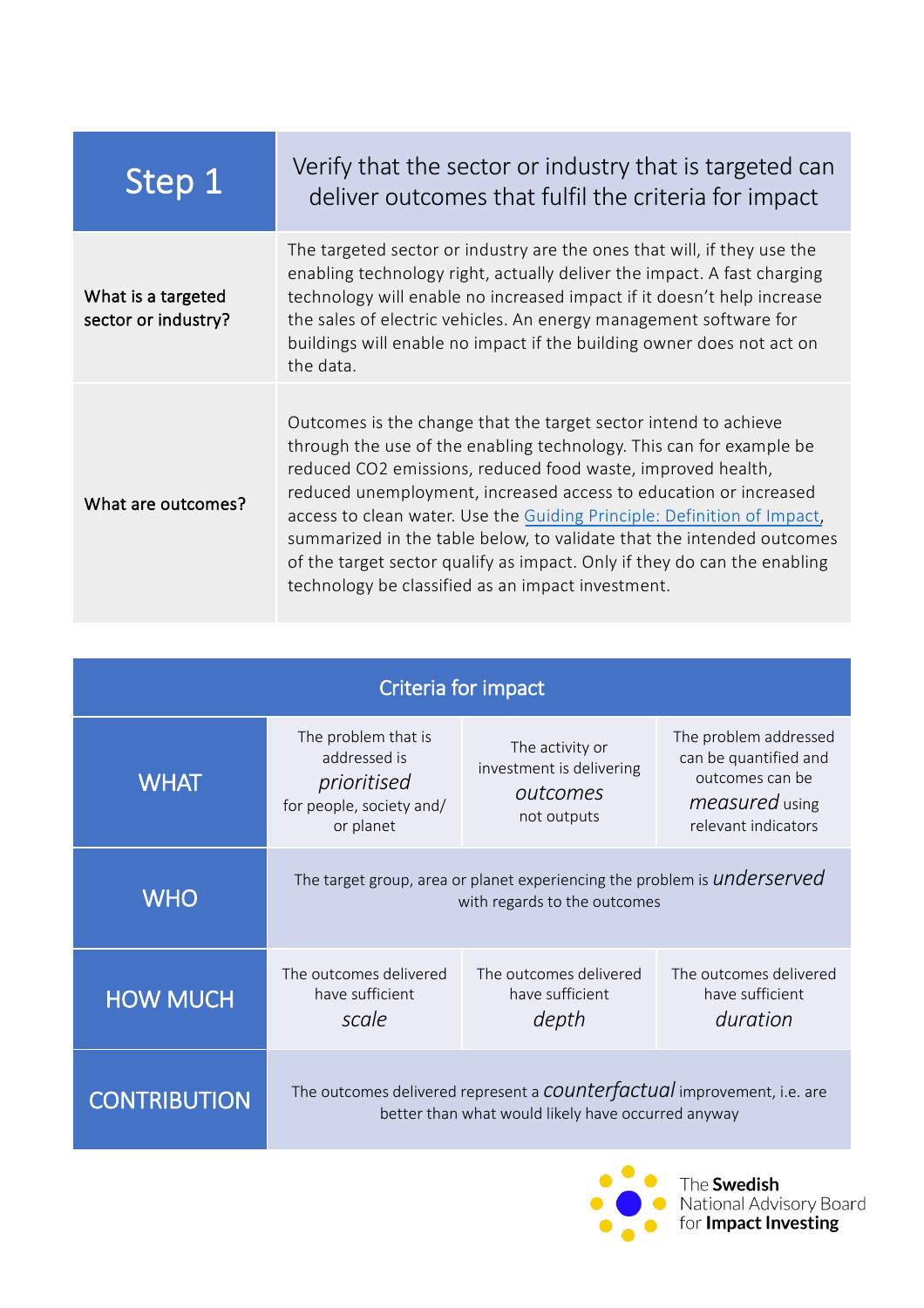| Step 1                                    | Verify that the sector or industry that is targeted can<br>deliver outcomes that fulfil the criteria for impact                                                                                                                                                                                                                                                                                                                                                                                                                                                |
|-------------------------------------------|----------------------------------------------------------------------------------------------------------------------------------------------------------------------------------------------------------------------------------------------------------------------------------------------------------------------------------------------------------------------------------------------------------------------------------------------------------------------------------------------------------------------------------------------------------------|
| What is a targeted<br>sector or industry? | The targeted sector or industry are the ones that will, if they use the<br>enabling technology right, actually deliver the impact. A fast charging<br>technology will enable no increased impact if it doesn't help increase<br>the sales of electric vehicles. An energy management software for<br>buildings will enable no impact if the building owner does not act on<br>the data.                                                                                                                                                                        |
| What are outcomes?                        | Outcomes is the change that the target sector intend to achieve<br>through the use of the enabling technology. This can for example be<br>reduced CO2 emissions, reduced food waste, improved health,<br>reduced unemployment, increased access to education or increased<br>access to clean water. Use the Guiding Principle: Definition of Impact,<br>summarized in the table below, to validate that the intended outcomes<br>of the target sector qualify as impact. Only if they do can the enabling<br>technology be classified as an impact investment. |

| Criteria for impact |                                                                                                                                      |                                                                        |                                                                                                                   |
|---------------------|--------------------------------------------------------------------------------------------------------------------------------------|------------------------------------------------------------------------|-------------------------------------------------------------------------------------------------------------------|
| <b>WHAT</b>         | The problem that is<br>addressed is<br>prioritised<br>for people, society and/<br>or planet                                          | The activity or<br>investment is delivering<br>outcomes<br>not outputs | The problem addressed<br>can be quantified and<br>outcomes can be<br><i>measured</i> using<br>relevant indicators |
| <b>WHO</b>          | The target group, area or planet experiencing the problem is <i>underserved</i><br>with regards to the outcomes                      |                                                                        |                                                                                                                   |
| <b>HOW MUCH</b>     | The outcomes delivered<br>have sufficient<br>scale                                                                                   | The outcomes delivered<br>have sufficient<br>depth                     | The outcomes delivered<br>have sufficient<br>duration                                                             |
| <b>CONTRIBUTION</b> | The outcomes delivered represent a <b>COUNTET actual</b> improvement, i.e. are<br>better than what would likely have occurred anyway |                                                                        |                                                                                                                   |



 $\bullet$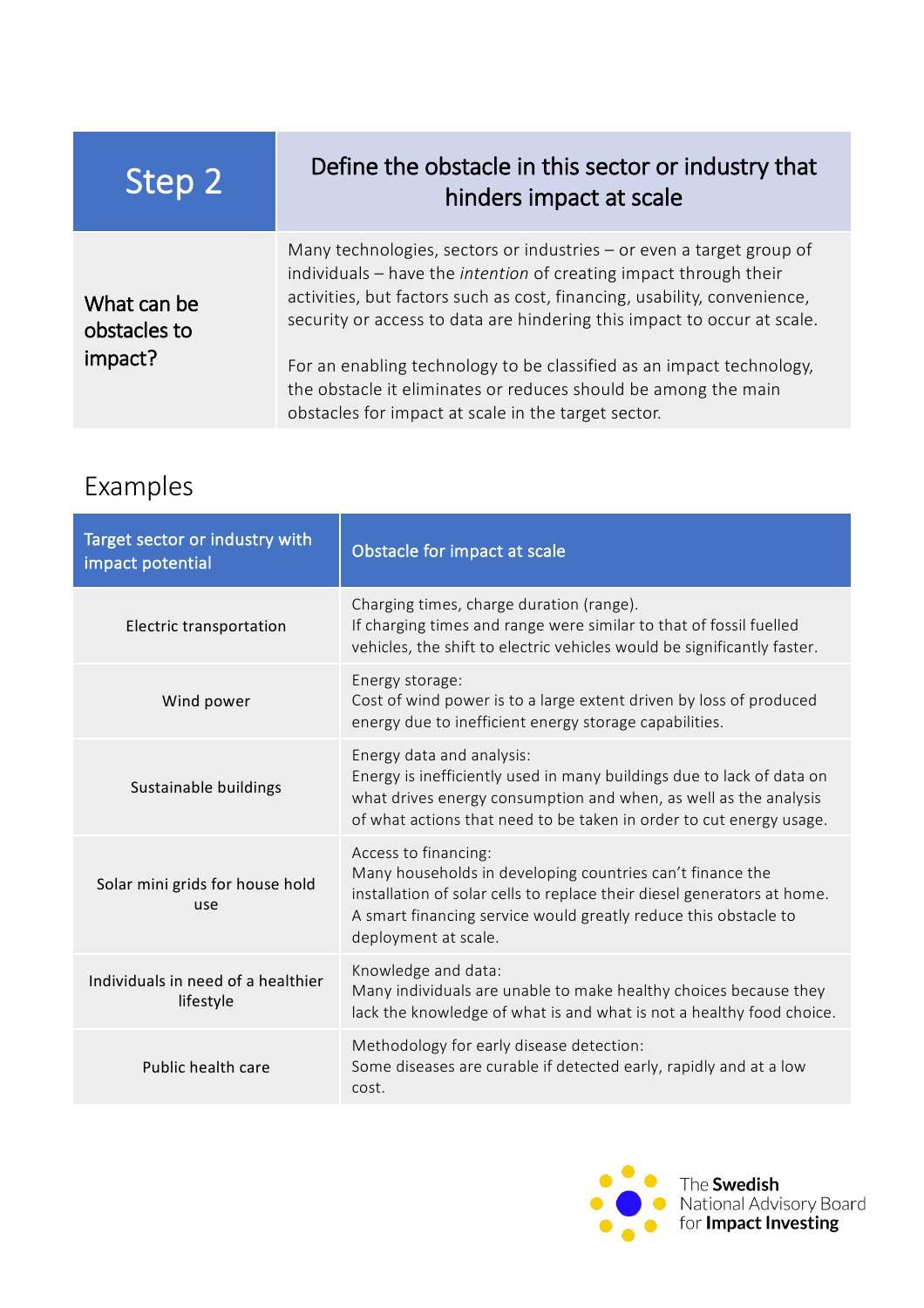| Step 2                      | Define the obstacle in this sector or industry that<br>hinders impact at scale                                                                                                                                                                                                                   |
|-----------------------------|--------------------------------------------------------------------------------------------------------------------------------------------------------------------------------------------------------------------------------------------------------------------------------------------------|
| What can be<br>obstacles to | Many technologies, sectors or industries – or even a target group of<br>individuals – have the intention of creating impact through their<br>activities, but factors such as cost, financing, usability, convenience,<br>security or access to data are hindering this impact to occur at scale. |
| impact?                     | For an enabling technology to be classified as an impact technology,<br>the obstacle it eliminates or reduces should be among the main<br>obstacles for impact at scale in the target sector.                                                                                                    |

### Examples

| Target sector or industry with<br>impact potential | Obstacle for impact at scale                                                                                                                                                                                                                            |
|----------------------------------------------------|---------------------------------------------------------------------------------------------------------------------------------------------------------------------------------------------------------------------------------------------------------|
| Electric transportation                            | Charging times, charge duration (range).<br>If charging times and range were similar to that of fossil fuelled<br>vehicles, the shift to electric vehicles would be significantly faster.                                                               |
| Wind power                                         | Energy storage:<br>Cost of wind power is to a large extent driven by loss of produced<br>energy due to inefficient energy storage capabilities.                                                                                                         |
| Sustainable buildings                              | Energy data and analysis:<br>Energy is inefficiently used in many buildings due to lack of data on<br>what drives energy consumption and when, as well as the analysis<br>of what actions that need to be taken in order to cut energy usage.           |
| Solar mini grids for house hold<br>use             | Access to financing:<br>Many households in developing countries can't finance the<br>installation of solar cells to replace their diesel generators at home.<br>A smart financing service would greatly reduce this obstacle to<br>deployment at scale. |
| Individuals in need of a healthier<br>lifestyle    | Knowledge and data:<br>Many individuals are unable to make healthy choices because they<br>lack the knowledge of what is and what is not a healthy food choice.                                                                                         |
| Public health care                                 | Methodology for early disease detection:<br>Some diseases are curable if detected early, rapidly and at a low<br>cost.                                                                                                                                  |

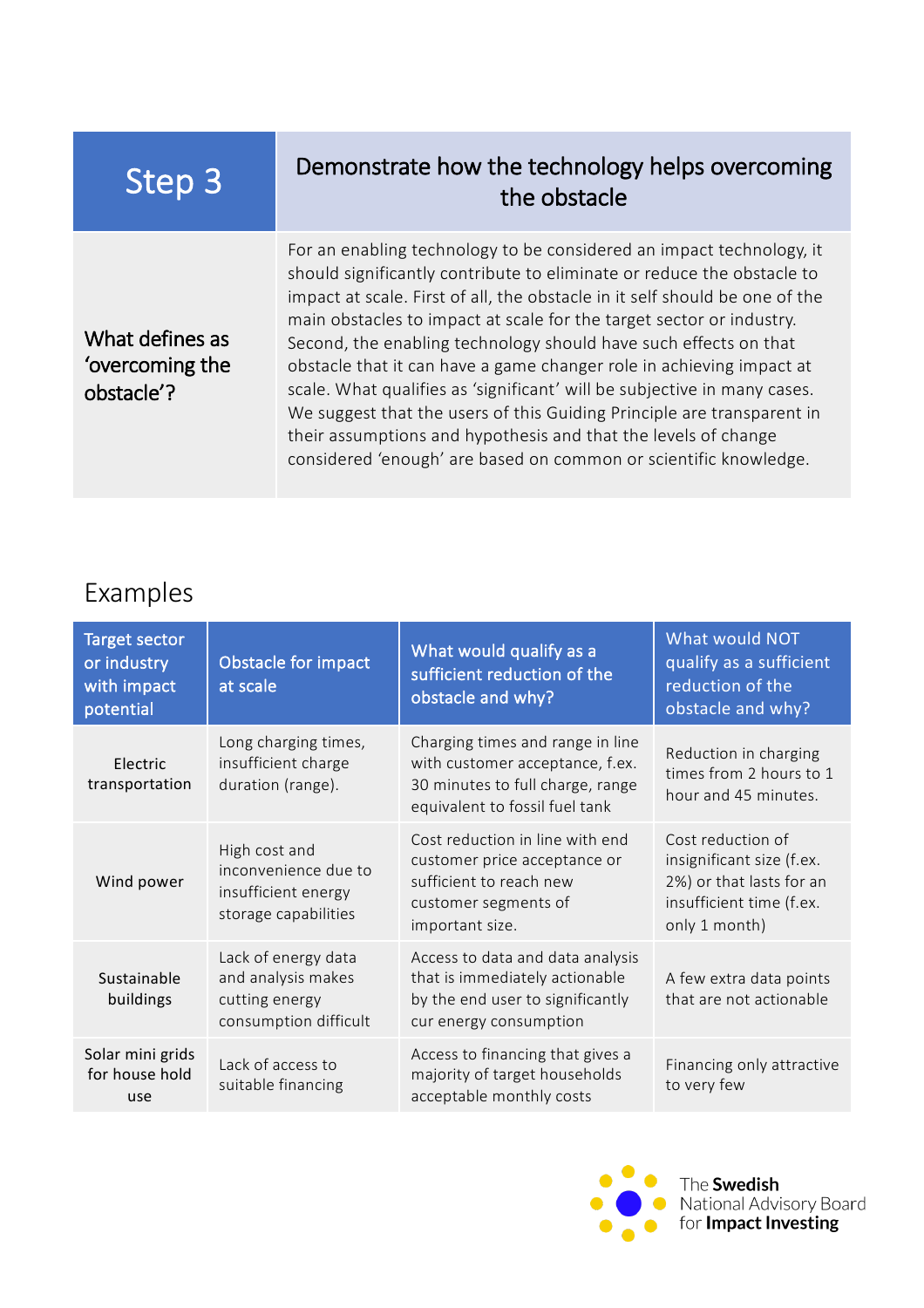#### Step 3 Demonstrate how the technology helps overcoming the obstacle

What defines as 'overcoming the obstacle'?

For an enabling technology to be considered an impact technology, it should significantly contribute to eliminate or reduce the obstacle to impact at scale. First of all, the obstacle in it self should be one of the main obstacles to impact at scale for the target sector or industry. Second, the enabling technology should have such effects on that obstacle that it can have a game changer role in achieving impact at scale. What qualifies as 'significant' will be subjective in many cases. We suggest that the users of this Guiding Principle are transparent in their assumptions and hypothesis and that the levels of change considered 'enough' are based on common or scientific knowledge.

#### Examples

| <b>Target sector</b><br>or industry<br>with impact<br>potential | Obstacle for impact<br>at scale                                                      | What would qualify as a<br>sufficient reduction of the<br>obstacle and why?                                                               | What would NOT<br>qualify as a sufficient<br>reduction of the<br>obstacle and why?                                      |
|-----------------------------------------------------------------|--------------------------------------------------------------------------------------|-------------------------------------------------------------------------------------------------------------------------------------------|-------------------------------------------------------------------------------------------------------------------------|
| Electric<br>transportation                                      | Long charging times,<br>insufficient charge<br>duration (range).                     | Charging times and range in line<br>with customer acceptance, f.ex.<br>30 minutes to full charge, range<br>equivalent to fossil fuel tank | Reduction in charging<br>times from 2 hours to 1<br>hour and 45 minutes.                                                |
| Wind power                                                      | High cost and<br>inconvenience due to<br>insufficient energy<br>storage capabilities | Cost reduction in line with end<br>customer price acceptance or<br>sufficient to reach new<br>customer segments of<br>important size.     | Cost reduction of<br>insignificant size (f.ex.<br>2%) or that lasts for an<br>insufficient time (f.ex.<br>only 1 month) |
| Sustainable<br>buildings                                        | Lack of energy data<br>and analysis makes<br>cutting energy<br>consumption difficult | Access to data and data analysis<br>that is immediately actionable<br>by the end user to significantly<br>cur energy consumption          | A few extra data points<br>that are not actionable                                                                      |
| Solar mini grids<br>for house hold<br>use                       | Lack of access to<br>suitable financing                                              | Access to financing that gives a<br>majority of target households<br>acceptable monthly costs                                             | Financing only attractive<br>to very few                                                                                |

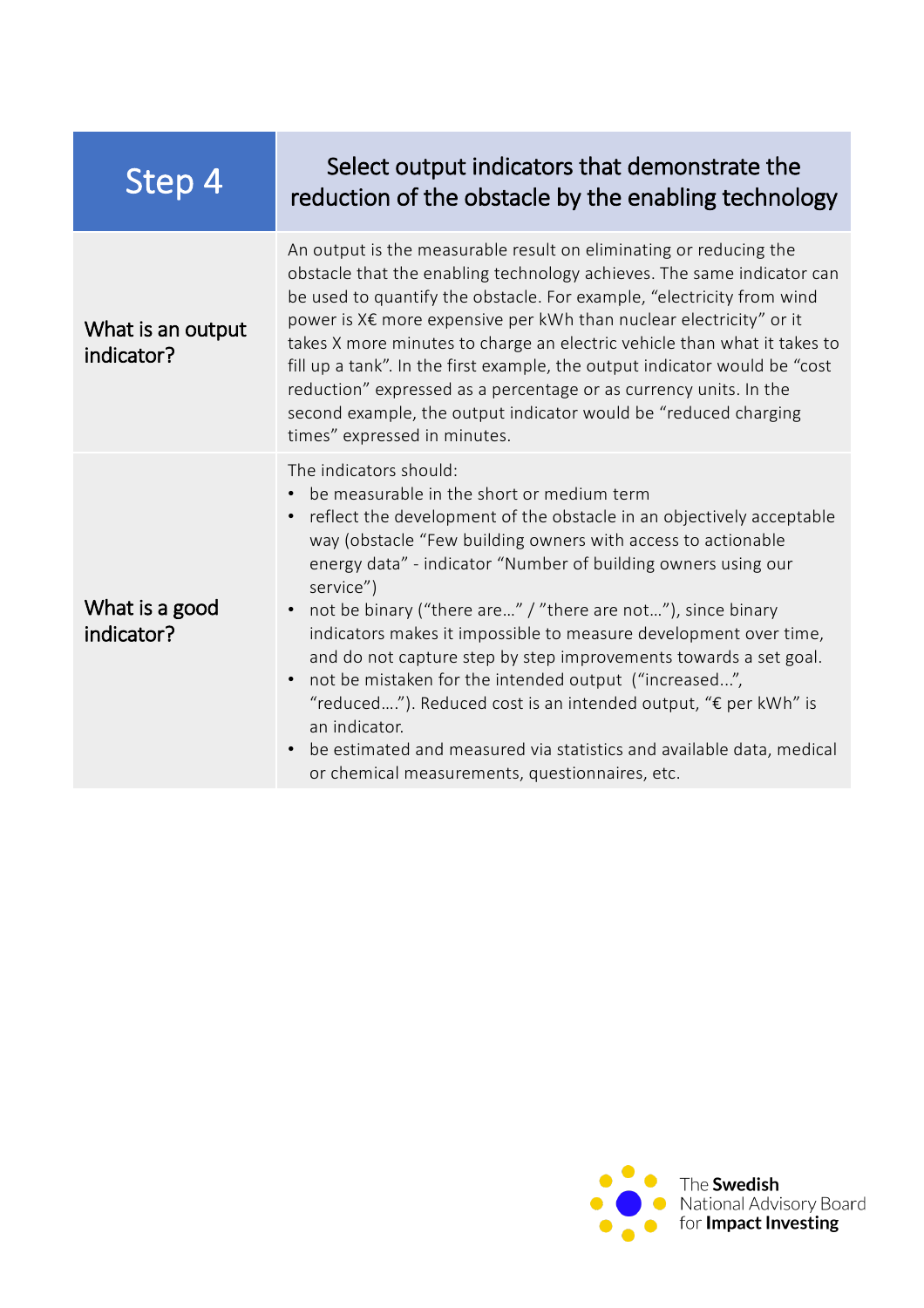| <u>Step 4</u>                   | Select output indicators that demonstrate the<br>reduction of the obstacle by the enabling technology                                                                                                                                                                                                                                                                                                                                                                                                                                                                                                                                                                                                                                                                      |
|---------------------------------|----------------------------------------------------------------------------------------------------------------------------------------------------------------------------------------------------------------------------------------------------------------------------------------------------------------------------------------------------------------------------------------------------------------------------------------------------------------------------------------------------------------------------------------------------------------------------------------------------------------------------------------------------------------------------------------------------------------------------------------------------------------------------|
| What is an output<br>indicator? | An output is the measurable result on eliminating or reducing the<br>obstacle that the enabling technology achieves. The same indicator can<br>be used to quantify the obstacle. For example, "electricity from wind<br>power is X€ more expensive per kWh than nuclear electricity" or it<br>takes X more minutes to charge an electric vehicle than what it takes to<br>fill up a tank". In the first example, the output indicator would be "cost"<br>reduction" expressed as a percentage or as currency units. In the<br>second example, the output indicator would be "reduced charging<br>times" expressed in minutes.                                                                                                                                              |
| What is a good<br>indicator?    | The indicators should:<br>• be measurable in the short or medium term<br>• reflect the development of the obstacle in an objectively acceptable<br>way (obstacle "Few building owners with access to actionable<br>energy data" - indicator "Number of building owners using our<br>service")<br>not be binary ("there are" / "there are not"), since binary<br>indicators makes it impossible to measure development over time,<br>and do not capture step by step improvements towards a set goal.<br>not be mistaken for the intended output ("increased",<br>"reduced"). Reduced cost is an intended output, "€ per kWh" is<br>an indicator.<br>be estimated and measured via statistics and available data, medical<br>or chemical measurements, questionnaires, etc. |

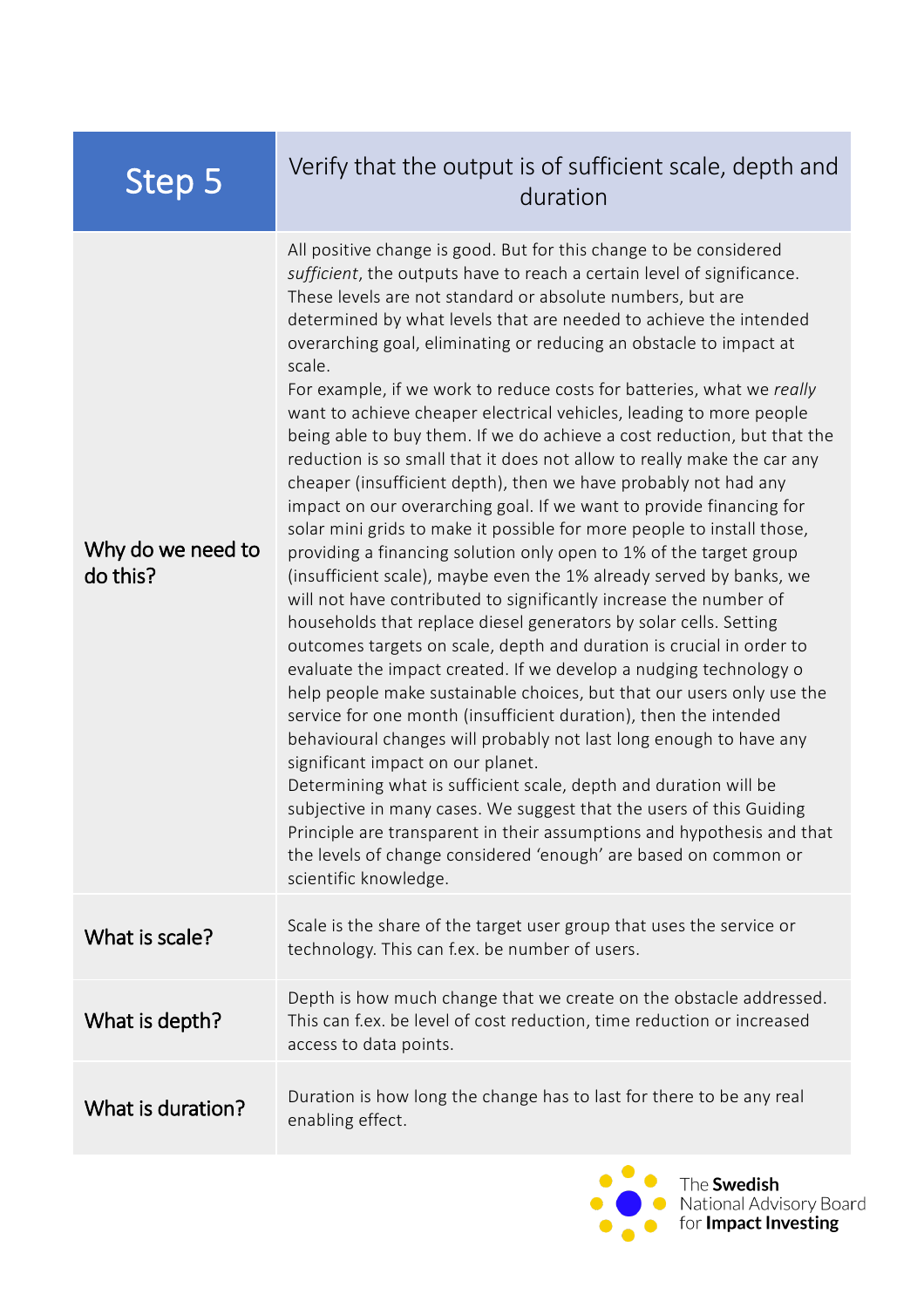#### Step 5 Verify that the output is of sufficient scale, depth and duration

Why do we need to do this? All positive change is good. But for this change to be considered *sufficient*, the outputs have to reach a certain level of significance. These levels are not standard or absolute numbers, but are determined by what levels that are needed to achieve the intended overarching goal, eliminating or reducing an obstacle to impact at scale. For example, if we work to reduce costs for batteries, what we *really*  want to achieve cheaper electrical vehicles, leading to more people being able to buy them. If we do achieve a cost reduction, but that the reduction is so small that it does not allow to really make the car any cheaper (insufficient depth), then we have probably not had any impact on our overarching goal. If we want to provide financing for solar mini grids to make it possible for more people to install those, providing a financing solution only open to 1% of the target group (insufficient scale), maybe even the 1% already served by banks, we will not have contributed to significantly increase the number of households that replace diesel generators by solar cells. Setting outcomes targets on scale, depth and duration is crucial in order to evaluate the impact created. If we develop a nudging technology o help people make sustainable choices, but that our users only use the service for one month (insufficient duration), then the intended behavioural changes will probably not last long enough to have any significant impact on our planet. Determining what is sufficient scale, depth and duration will be subjective in many cases. We suggest that the users of this Guiding Principle are transparent in their assumptions and hypothesis and that the levels of change considered 'enough' are based on common or scientific knowledge. What is scale? Scale is the share of the target user group that uses the service or technology. This can f.ex. be number of users. What is depth? Depth is how much change that we create on the obstacle addressed. This can f.ex. be level of cost reduction, time reduction or increased access to data points. What is duration? Duration is how long the change has to last for there to be any real enabling effect.

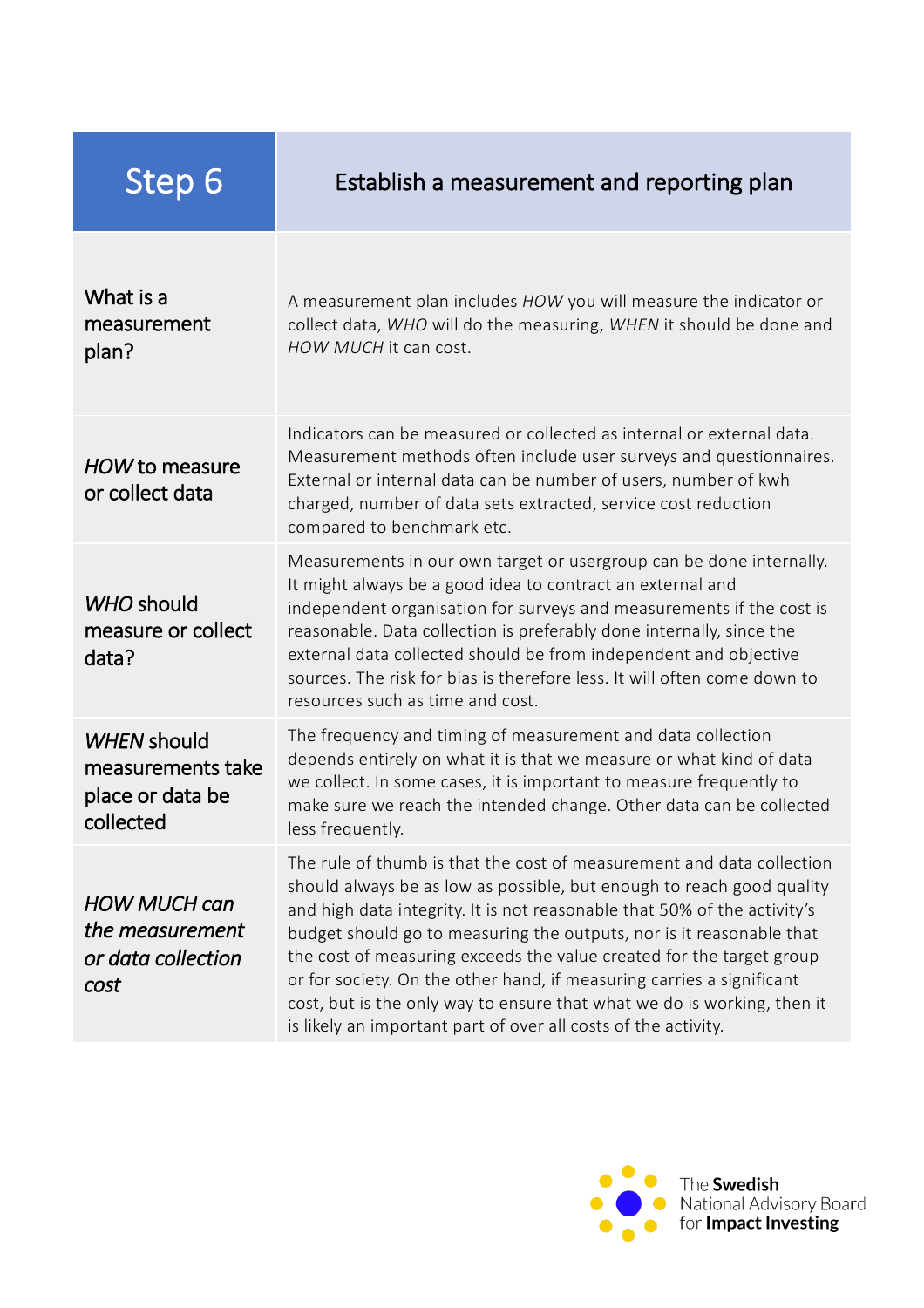## Step 6 Establish a measurement and reporting plan

| What is a<br>measurement<br>plan?                                        | A measurement plan includes HOW you will measure the indicator or<br>collect data, WHO will do the measuring, WHEN it should be done and<br>HOW MUCH it can cost.                                                                                                                                                                                                                                                                                                                                                                                                                                |
|--------------------------------------------------------------------------|--------------------------------------------------------------------------------------------------------------------------------------------------------------------------------------------------------------------------------------------------------------------------------------------------------------------------------------------------------------------------------------------------------------------------------------------------------------------------------------------------------------------------------------------------------------------------------------------------|
| HOW to measure<br>or collect data                                        | Indicators can be measured or collected as internal or external data.<br>Measurement methods often include user surveys and questionnaires.<br>External or internal data can be number of users, number of kwh<br>charged, number of data sets extracted, service cost reduction<br>compared to benchmark etc.                                                                                                                                                                                                                                                                                   |
| WHO should<br>measure or collect<br>data?                                | Measurements in our own target or usergroup can be done internally.<br>It might always be a good idea to contract an external and<br>independent organisation for surveys and measurements if the cost is<br>reasonable. Data collection is preferably done internally, since the<br>external data collected should be from independent and objective<br>sources. The risk for bias is therefore less. It will often come down to<br>resources such as time and cost.                                                                                                                            |
| <b>WHEN should</b><br>measurements take<br>place or data be<br>collected | The frequency and timing of measurement and data collection<br>depends entirely on what it is that we measure or what kind of data<br>we collect. In some cases, it is important to measure frequently to<br>make sure we reach the intended change. Other data can be collected<br>less frequently.                                                                                                                                                                                                                                                                                             |
| <b>HOW MUCH can</b><br>the measurement<br>or data collection<br>cost     | The rule of thumb is that the cost of measurement and data collection<br>should always be as low as possible, but enough to reach good quality<br>and high data integrity. It is not reasonable that 50% of the activity's<br>budget should go to measuring the outputs, nor is it reasonable that<br>the cost of measuring exceeds the value created for the target group<br>or for society. On the other hand, if measuring carries a significant<br>cost, but is the only way to ensure that what we do is working, then it<br>is likely an important part of over all costs of the activity. |

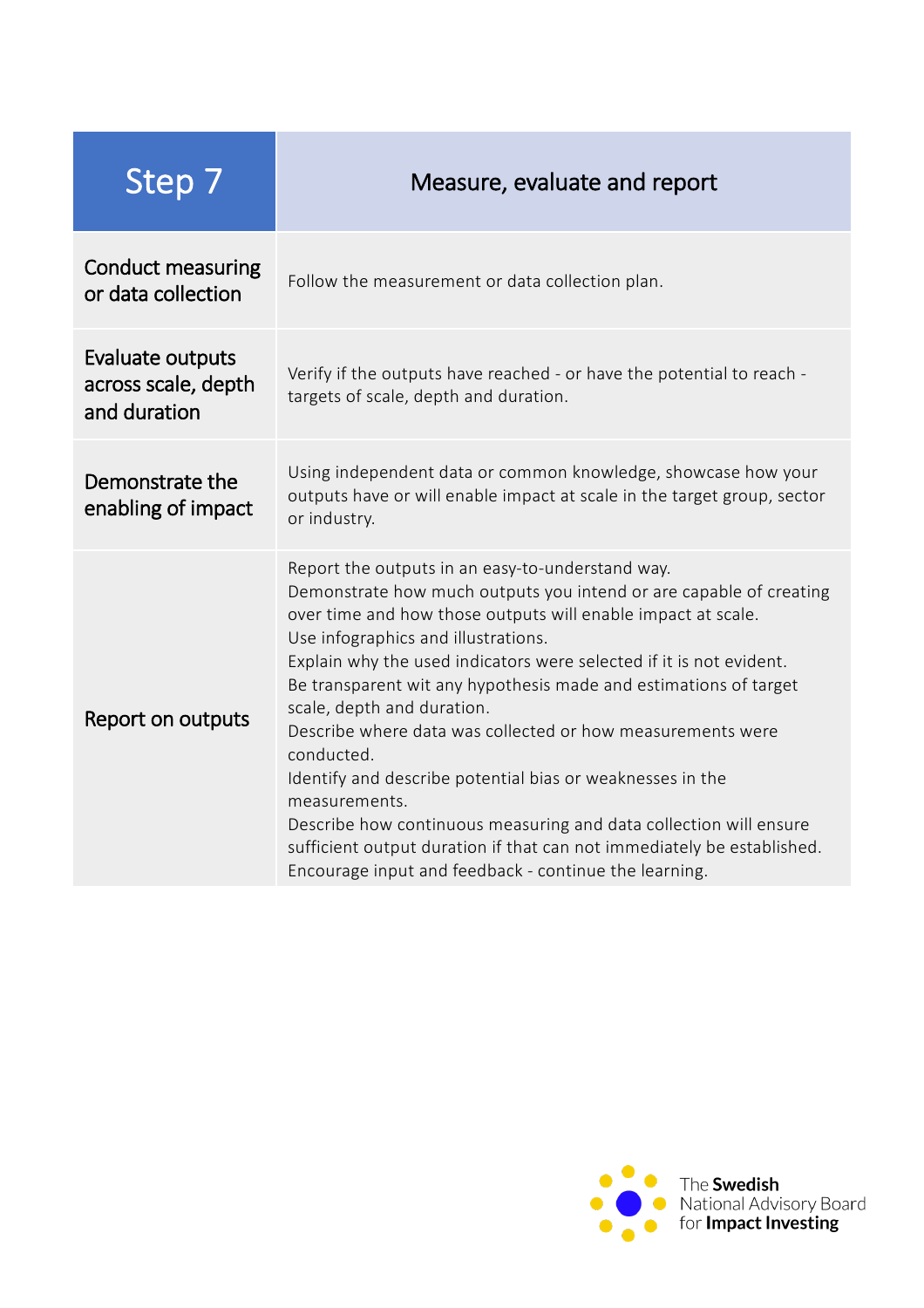| Step 7                                                  | Measure, evaluate and report                                                                                                                                                                                                                                                                                                                                                                                                                                                                                                                                                                                                                                                                                                                                             |
|---------------------------------------------------------|--------------------------------------------------------------------------------------------------------------------------------------------------------------------------------------------------------------------------------------------------------------------------------------------------------------------------------------------------------------------------------------------------------------------------------------------------------------------------------------------------------------------------------------------------------------------------------------------------------------------------------------------------------------------------------------------------------------------------------------------------------------------------|
| <b>Conduct measuring</b><br>or data collection          | Follow the measurement or data collection plan.                                                                                                                                                                                                                                                                                                                                                                                                                                                                                                                                                                                                                                                                                                                          |
| Evaluate outputs<br>across scale, depth<br>and duration | Verify if the outputs have reached - or have the potential to reach -<br>targets of scale, depth and duration.                                                                                                                                                                                                                                                                                                                                                                                                                                                                                                                                                                                                                                                           |
| Demonstrate the<br>enabling of impact                   | Using independent data or common knowledge, showcase how your<br>outputs have or will enable impact at scale in the target group, sector<br>or industry.                                                                                                                                                                                                                                                                                                                                                                                                                                                                                                                                                                                                                 |
| Report on outputs                                       | Report the outputs in an easy-to-understand way.<br>Demonstrate how much outputs you intend or are capable of creating<br>over time and how those outputs will enable impact at scale.<br>Use infographics and illustrations.<br>Explain why the used indicators were selected if it is not evident.<br>Be transparent wit any hypothesis made and estimations of target<br>scale, depth and duration.<br>Describe where data was collected or how measurements were<br>conducted.<br>Identify and describe potential bias or weaknesses in the<br>measurements.<br>Describe how continuous measuring and data collection will ensure<br>sufficient output duration if that can not immediately be established.<br>Encourage input and feedback - continue the learning. |